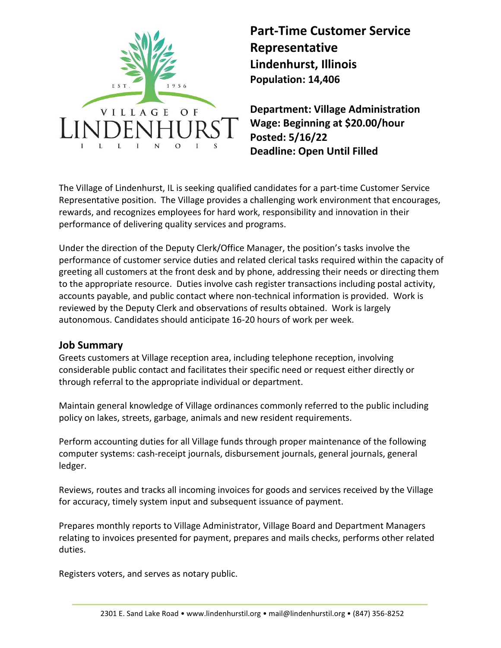

## **Part-Time Customer Service Representative Lindenhurst, Illinois Population: 14,406**

**Department: Village Administration Wage: Beginning at \$20.00/hour Posted: 5/16/22 Deadline: Open Until Filled**

The Village of Lindenhurst, IL is seeking qualified candidates for a part-time Customer Service Representative position. The Village provides a challenging work environment that encourages, rewards, and recognizes employees for hard work, responsibility and innovation in their performance of delivering quality services and programs.

Under the direction of the Deputy Clerk/Office Manager, the position's tasks involve the performance of customer service duties and related clerical tasks required within the capacity of greeting all customers at the front desk and by phone, addressing their needs or directing them to the appropriate resource. Duties involve cash register transactions including postal activity, accounts payable, and public contact where non-technical information is provided. Work is reviewed by the Deputy Clerk and observations of results obtained. Work is largely autonomous. Candidates should anticipate 16-20 hours of work per week.

## **Job Summary**

Greets customers at Village reception area, including telephone reception, involving considerable public contact and facilitates their specific need or request either directly or through referral to the appropriate individual or department.

Maintain general knowledge of Village ordinances commonly referred to the public including policy on lakes, streets, garbage, animals and new resident requirements.

Perform accounting duties for all Village funds through proper maintenance of the following computer systems: cash-receipt journals, disbursement journals, general journals, general ledger.

Reviews, routes and tracks all incoming invoices for goods and services received by the Village for accuracy, timely system input and subsequent issuance of payment.

Prepares monthly reports to Village Administrator, Village Board and Department Managers relating to invoices presented for payment, prepares and mails checks, performs other related duties.

Registers voters, and serves as notary public.